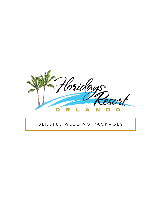

#### B L I S S F U L W E D D I N G P A C K A G E S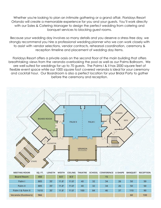Whether you're looking to plan an intimate gathering or a grand affair, Floridays Resort Orlando will create a memorable experience for you and your guests. You'll work directly with our Sales & Catering Manager to design the perfect wedding from catering and banquet services to blocking guest rooms.

Because your wedding day involves so many details and you deserve a stress-free day, we strongly recommend you hire a professional wedding planner who we can work closely with to assist with vendor selections, vendor contracts, rehearsal coordination, ceremony & reception timeline and placement of wedding day items.

Floridays Resort offers a private oasis on the second floor of the main building that offers breathtaking views from the veranda overlooking the pool as well as our Palms Ballroom. We are well suited for weddings for up to 70 guests. The Palms I & II has 2000 square feet of flexible event space while our 1000 square foot covered veranda is ideal for your ceremony and cocktail hour. Our Boardroom is also a perfect location for your Bridal Party to gather before the ceremony and reception.



 $11.8'$ 

100

84

 $11.8'$ 

46

37

110

60

90

100

Palm I & Palm II

Veranda (Outdoors)

1610

966

 $35'$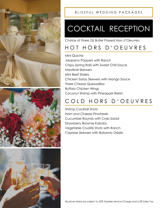





## COCKTAIL RECEPTION

Choice of three (3) Butler Passed Hors d'Oeuvres.

### HOT HORS D'OEUVRES

Mini Quiche Jalapeno Poppers with Ranch Crispy Spring Rolls with Sweet Chili Sauce Meatball Skewers Mini Beef Sliders Chicken Satay Skewers with Mango Sauce Three Cheese Quesadillas Buffalo Chicken Wings Coconut Shrimp with Pineapple Relish

### COLD HORS D'OEUVRES

Shrimp Cocktail Shots Ham and Cheese Pinwheels Cucumber Rounds with Crab Salad Strawberry Brownie Kabobs Vegetable Crudité Shots with Ranch Caprese Skewers with Balsamic Drizzle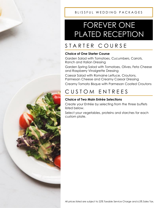## FOREVER ONE PLATED RECEPTION

## STARTER COURSE

#### **Choice of One Starter Course**

Garden Salad with Tomatoes, Cucumbers, Carrots, Ranch and Italian Dressing

Garden Spring Salad with Tomatoes, Olives, Feta Cheese and Raspberry Vinaigrette Dressing

Caesar Salad with Romaine Lettuce, Croutons, Parmesan Cheese and Creamy Caesar Dressing Creamy Tomato Bisque with Parmesan Coated Croutons

## CUSTOM ENTREES

#### **Choice of Two Main Entrée Selections**

Create your Entrée by selecting from the three buffets listed below.

Select your vegetables, proteins and starches for each custom plate.



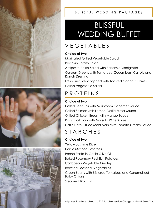





## BLISSFUL WEDDING BUFFET

## V E G E T A B L E S

#### **Choice of Two**

Marinated Grilled Vegetable Salad Red Skin Potato Salad Antipasto Pasta Salad with Balsamic Vinaigrette Garden Greens with Tomatoes, Cucumbers, Carrots and Ranch Dressing Fresh Fruit Salad topped with Toasted Coconut Flakes Grilled Vegetable Salad

## **P R O T E I N S**

#### **Choice of Two**

Grilled Beef Tips with Mushroom Cabernet Sauce Grilled Salmon with Lemon Garlic Butter Sauce Grilled Chicken Breast with Mango Sauce Roast Pork Loin with Marsala Wine Sause Citrus Herb Grilled Mahi-Mahi with Tomato Cream Sauce

## **STARCHES**

#### **Choice of Two**

Yellow Jasmine Rice Garlic Mashed Potatoes Penne Pasta in Garlic Olive Oil Baked Rosemary Red Skin Potatoes Caribbean Vegetable Medley Roasted Seasonal Vegetables Green Beans with Blistered Tomatoes and Caramelized Baby Onions Steamed Broccoli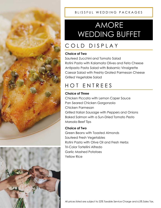



## AMORE WEDDING BUFFET

## COLD DISPLAY

#### **Choice of Two**

Sauteed Zucchini and Tomato Salad Rotini Pasta with Kalamata Olives and Feta Cheese Antipasto Pasta Salad with Balsamic Vinaigrette Caesar Salad with Freshly Grated Parmesan Cheese Grilled Vegetable Salad

## HOT ENTREES

#### **Choice of Three**

Chicken Piccata with Lemon Caper Sauce Pan Seared Chicken Gorgonzola Chicken Parmesan Grilled Italian Sausage with Peppers and Onions Baked Salmon with a Sun-Dried Tomato Pesto Marsala Beef Tips

#### **Choice of Two**

Green Beans with Toasted Almonds Sauteed Fresh Vegetables Rotini Pasta with Olive Oil and Fresh Herbs Tri-Color Tortellini Alfredo Garlic Mashed Potatoes Yellow Rice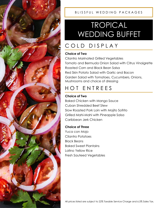

## TROPICAL WEDDING BUFFET

## COLD DISPLAY

#### **Choice of Two**

Cilantro Marinated Grilled Vegetables Tomato and Bermuda Onion Salad with Citrus Vinaigrette Roasted Corn and Black Bean Salsa Red Skin Potato Salad with Garlic and Bacon Garden Salad with Tomatoes, Cucumbers, Onions, Mushrooms and choice of dressing

## H O T E N T R E E S

#### **Choice of Two**

Baked Chicken with Mango Sauce Cuban Shredded Beef Stew Slow Roasted Pork Loin with Mojito Sofrito Grilled Mahi-Mahi with Pineapple Salsa Caribbean Jerk Chicken

#### **Choice of Three**

Yuca con Mojo Cilantro Potatoes Black Beans Baked Sweet Plantains Latino Yellow Rice Fresh Sauteed Vegetables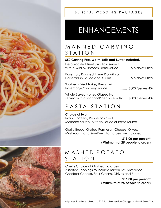



## ENHANCEMENTS

### MANNED CARVING S T A T I O N

#### **\$50 Carving Fee. Warm Rolls and Butter included.**

| Herb Roasted Beef Strip Loin served<br>with a Wild Mushroom Demi Sauce  \$ Market Price |
|-----------------------------------------------------------------------------------------|
| Rosemary Roasted Prime Rib with a<br>Horseradish Sauce and Au Jus  \$ Market Price      |
| Southern Fried Turkey Breast with<br>Rosemary-Cranberry Sauce \$300 (Serves 40)         |
| Whole Paked Henoy Clazed Ham                                                            |

Whole Baked Honey Glazed Ham served with a Mango/Pineapple Salsa .... \$300 (Serves 40)

### PASTA STATION

#### **Choice of two:**

Rotini, Tortellini, Penne or Ravioli Marinara Sauce, Alfredo Sauce or Pesto Sauce

Garlic Bread, Grated Parmesan Cheese, Olives, Mushrooms and Sun-Dried Tomatoes are included

#### **\$19.00 per person\* (Minimum of 25 people to order)**

#### M A S H E D P O T A T O S T A T I O N

Chef's Choice of Mashed Potatoes Assorted Toppings to include Bacon Bits, Shredded Cheddar Cheese, Sour Cream, Chives and Butter

> **\$16.00 per person\* (Minimum of 25 people to order)**

All prices listed are subject to 22% Taxable Service Charge and 6.5% Sales Tax.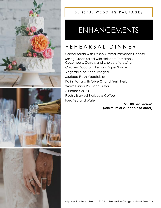





## ENHANCEMENTS

## R E H E A R S A L D I N N E R

Caesar Salad with Freshly Grated Parmesan Cheese Spring Green Salad with Heirloom Tomatoes, Cucumbers, Carrots and choice of dressing Chicken Piccata in Lemon Caper Sauce Vegetable or Meat Lasagna Sauteed Fresh Vegetables Rotini Pasta with Olive Oil and Fresh Herbs Warm Dinner Rolls and Butter Assorted Cakes Freshly Brewed Starbucks Coffee Iced Tea and Water

**\$35.00 per person\* (Minimum of 20 people to order)**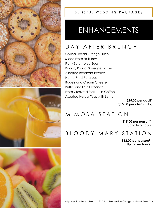



#### BLISSFUL WEDDING PACKAGES

## ENHANCEMENTS

## DAY AFTER BRUNCH

Chilled Florida Orange Juice Sliced Fresh Fruit Tray Fluffy Scrambled Eggs Bacon, Pork or Sausage Patties Assorted Breakfast Pastries Home Fried Potatoes Bagels and Cream Cheese Butter and Fruit Preserves Freshly Brewed Starbucks Coffee Assorted Herbal Teas with Lemon

**\$25.00 per adult\* \$15.00 per child (3-12)**

#### M I M O S A S T A T I O N

**\$15.00 per person\* Up to two hours** 

#### B L O O D Y M A R Y S T A T I O N

**\$18.00 per person\* Up to two hours** 



All prices listed are subject to 22% Taxable Service Charge and 6.5% Sales Tax.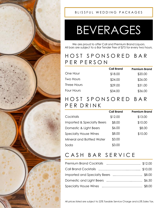

#### BLISSFUL WEDDING PACKAGES

# BEVERAGES

We are proud to offer Call and Premium Brand Liquors. All bars are subject to a Bar Tender Fee of \$75 for every two hours.

#### H O S T S P O N S O R E D B A R P E R P E R S O N

|             | <b>Call Brand</b> | <b>Premium Brand</b> |
|-------------|-------------------|----------------------|
| One Hour    | \$18.00           | \$20.00              |
| Two Hours   | \$24.00           | \$26.00              |
| Three Hours | \$29.00           | \$31.00              |
| Four Hours  | \$34.00           | \$36.00              |
|             |                   |                      |

#### H O S T S P O N S O R E D B A R P E R D R I N K

|                                       | <b>Call Brand</b> | <b>Premium Brand</b> |
|---------------------------------------|-------------------|----------------------|
| Cocktails                             | \$12.00           | \$13.00              |
| <b>Imported &amp; Specialty Beers</b> | \$8.00            | \$10.00              |
| Domestic & Light Beers                | \$6.00            | \$8.00               |
| <b>Specialty House Wines</b>          | \$8.00            | \$10.00              |
| Mineral and Bottled Water             | \$3.00            |                      |
| Soda                                  | \$3.00            |                      |

### CASH BAR SERVICE

| Imported and Specialty Beers \$8.00 |  |
|-------------------------------------|--|
|                                     |  |
|                                     |  |

All prices listed are subject to 22% Taxable Service Charge and 6.5% Sales Tax.